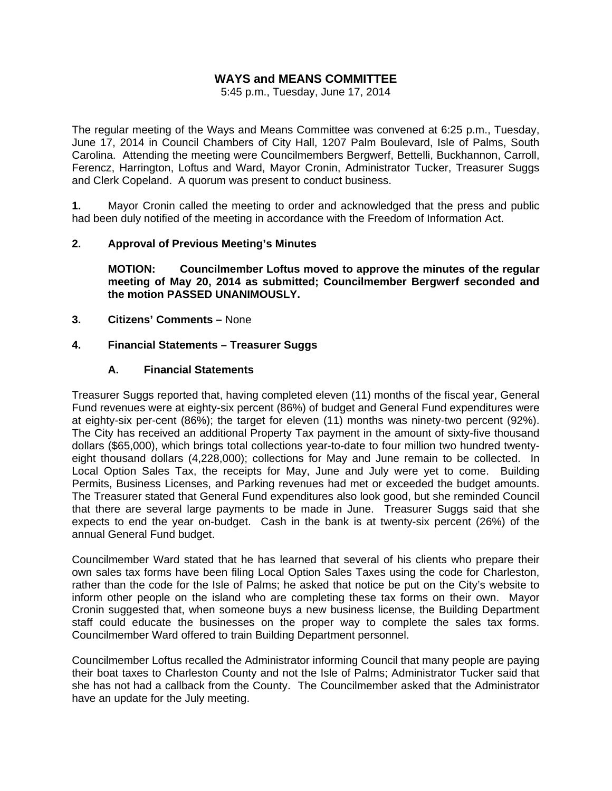# **WAYS and MEANS COMMITTEE**

5:45 p.m., Tuesday, June 17, 2014

The regular meeting of the Ways and Means Committee was convened at 6:25 p.m., Tuesday, June 17, 2014 in Council Chambers of City Hall, 1207 Palm Boulevard, Isle of Palms, South Carolina. Attending the meeting were Councilmembers Bergwerf, Bettelli, Buckhannon, Carroll, Ferencz, Harrington, Loftus and Ward, Mayor Cronin, Administrator Tucker, Treasurer Suggs and Clerk Copeland. A quorum was present to conduct business.

**1.** Mayor Cronin called the meeting to order and acknowledged that the press and public had been duly notified of the meeting in accordance with the Freedom of Information Act.

### **2. Approval of Previous Meeting's Minutes**

 **MOTION: Councilmember Loftus moved to approve the minutes of the regular meeting of May 20, 2014 as submitted; Councilmember Bergwerf seconded and the motion PASSED UNANIMOUSLY.** 

**3. Citizens' Comments –** None

### **4. Financial Statements – Treasurer Suggs**

### **A. Financial Statements**

Treasurer Suggs reported that, having completed eleven (11) months of the fiscal year, General Fund revenues were at eighty-six percent (86%) of budget and General Fund expenditures were at eighty-six per-cent (86%); the target for eleven (11) months was ninety-two percent (92%). The City has received an additional Property Tax payment in the amount of sixty-five thousand dollars (\$65,000), which brings total collections year-to-date to four million two hundred twentyeight thousand dollars (4,228,000); collections for May and June remain to be collected. In Local Option Sales Tax, the receipts for May, June and July were yet to come. Building Permits, Business Licenses, and Parking revenues had met or exceeded the budget amounts. The Treasurer stated that General Fund expenditures also look good, but she reminded Council that there are several large payments to be made in June. Treasurer Suggs said that she expects to end the year on-budget. Cash in the bank is at twenty-six percent (26%) of the annual General Fund budget.

Councilmember Ward stated that he has learned that several of his clients who prepare their own sales tax forms have been filing Local Option Sales Taxes using the code for Charleston, rather than the code for the Isle of Palms; he asked that notice be put on the City's website to inform other people on the island who are completing these tax forms on their own. Mayor Cronin suggested that, when someone buys a new business license, the Building Department staff could educate the businesses on the proper way to complete the sales tax forms. Councilmember Ward offered to train Building Department personnel.

Councilmember Loftus recalled the Administrator informing Council that many people are paying their boat taxes to Charleston County and not the Isle of Palms; Administrator Tucker said that she has not had a callback from the County. The Councilmember asked that the Administrator have an update for the July meeting.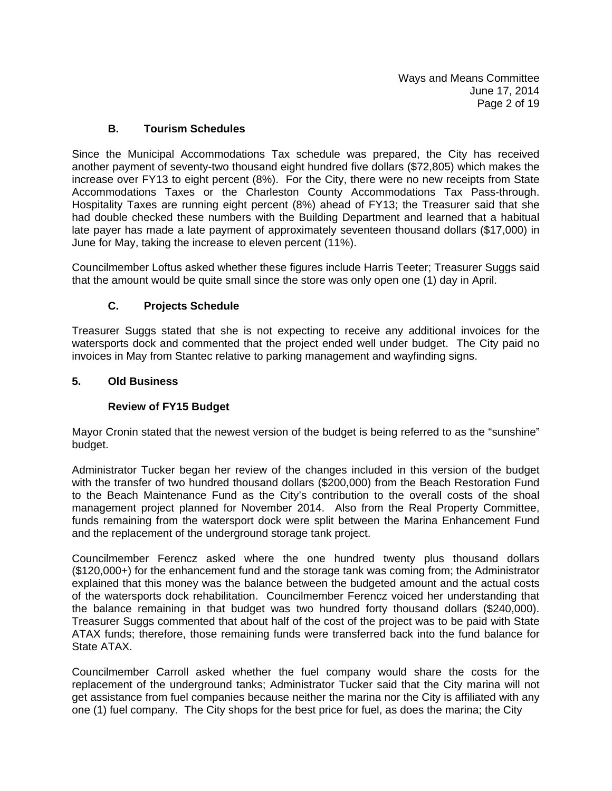## **B. Tourism Schedules**

Since the Municipal Accommodations Tax schedule was prepared, the City has received another payment of seventy-two thousand eight hundred five dollars (\$72,805) which makes the increase over FY13 to eight percent (8%). For the City, there were no new receipts from State Accommodations Taxes or the Charleston County Accommodations Tax Pass-through. Hospitality Taxes are running eight percent (8%) ahead of FY13; the Treasurer said that she had double checked these numbers with the Building Department and learned that a habitual late payer has made a late payment of approximately seventeen thousand dollars (\$17,000) in June for May, taking the increase to eleven percent (11%).

Councilmember Loftus asked whether these figures include Harris Teeter; Treasurer Suggs said that the amount would be quite small since the store was only open one (1) day in April.

## **C. Projects Schedule**

Treasurer Suggs stated that she is not expecting to receive any additional invoices for the watersports dock and commented that the project ended well under budget. The City paid no invoices in May from Stantec relative to parking management and wayfinding signs.

### **5. Old Business**

# **Review of FY15 Budget**

Mayor Cronin stated that the newest version of the budget is being referred to as the "sunshine" budget.

Administrator Tucker began her review of the changes included in this version of the budget with the transfer of two hundred thousand dollars (\$200,000) from the Beach Restoration Fund to the Beach Maintenance Fund as the City's contribution to the overall costs of the shoal management project planned for November 2014. Also from the Real Property Committee, funds remaining from the watersport dock were split between the Marina Enhancement Fund and the replacement of the underground storage tank project.

Councilmember Ferencz asked where the one hundred twenty plus thousand dollars (\$120,000+) for the enhancement fund and the storage tank was coming from; the Administrator explained that this money was the balance between the budgeted amount and the actual costs of the watersports dock rehabilitation. Councilmember Ferencz voiced her understanding that the balance remaining in that budget was two hundred forty thousand dollars (\$240,000). Treasurer Suggs commented that about half of the cost of the project was to be paid with State ATAX funds; therefore, those remaining funds were transferred back into the fund balance for State ATAX.

Councilmember Carroll asked whether the fuel company would share the costs for the replacement of the underground tanks; Administrator Tucker said that the City marina will not get assistance from fuel companies because neither the marina nor the City is affiliated with any one (1) fuel company. The City shops for the best price for fuel, as does the marina; the City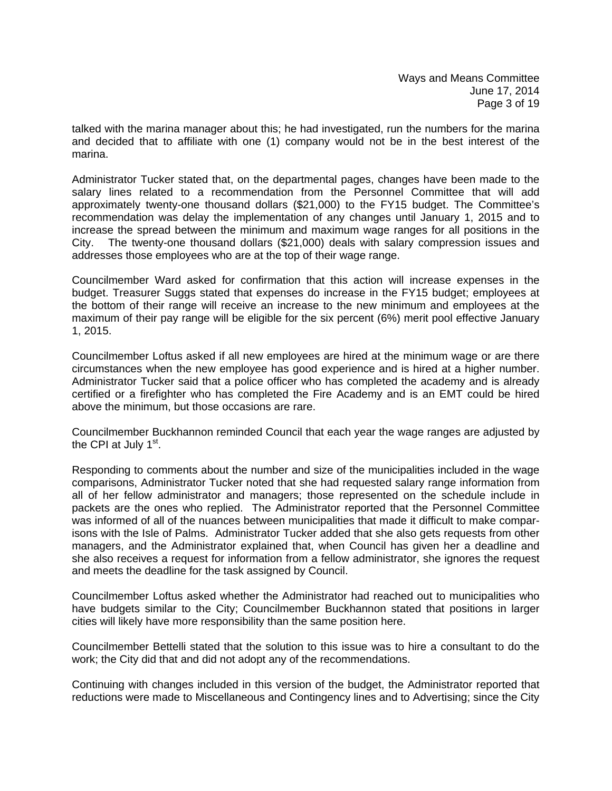talked with the marina manager about this; he had investigated, run the numbers for the marina and decided that to affiliate with one (1) company would not be in the best interest of the marina.

Administrator Tucker stated that, on the departmental pages, changes have been made to the salary lines related to a recommendation from the Personnel Committee that will add approximately twenty-one thousand dollars (\$21,000) to the FY15 budget. The Committee's recommendation was delay the implementation of any changes until January 1, 2015 and to increase the spread between the minimum and maximum wage ranges for all positions in the City. The twenty-one thousand dollars (\$21,000) deals with salary compression issues and addresses those employees who are at the top of their wage range.

Councilmember Ward asked for confirmation that this action will increase expenses in the budget. Treasurer Suggs stated that expenses do increase in the FY15 budget; employees at the bottom of their range will receive an increase to the new minimum and employees at the maximum of their pay range will be eligible for the six percent (6%) merit pool effective January 1, 2015.

Councilmember Loftus asked if all new employees are hired at the minimum wage or are there circumstances when the new employee has good experience and is hired at a higher number. Administrator Tucker said that a police officer who has completed the academy and is already certified or a firefighter who has completed the Fire Academy and is an EMT could be hired above the minimum, but those occasions are rare.

Councilmember Buckhannon reminded Council that each year the wage ranges are adjusted by the CPI at July  $1<sup>st</sup>$ .

Responding to comments about the number and size of the municipalities included in the wage comparisons, Administrator Tucker noted that she had requested salary range information from all of her fellow administrator and managers; those represented on the schedule include in packets are the ones who replied. The Administrator reported that the Personnel Committee was informed of all of the nuances between municipalities that made it difficult to make comparisons with the Isle of Palms. Administrator Tucker added that she also gets requests from other managers, and the Administrator explained that, when Council has given her a deadline and she also receives a request for information from a fellow administrator, she ignores the request and meets the deadline for the task assigned by Council.

Councilmember Loftus asked whether the Administrator had reached out to municipalities who have budgets similar to the City; Councilmember Buckhannon stated that positions in larger cities will likely have more responsibility than the same position here.

Councilmember Bettelli stated that the solution to this issue was to hire a consultant to do the work; the City did that and did not adopt any of the recommendations.

Continuing with changes included in this version of the budget, the Administrator reported that reductions were made to Miscellaneous and Contingency lines and to Advertising; since the City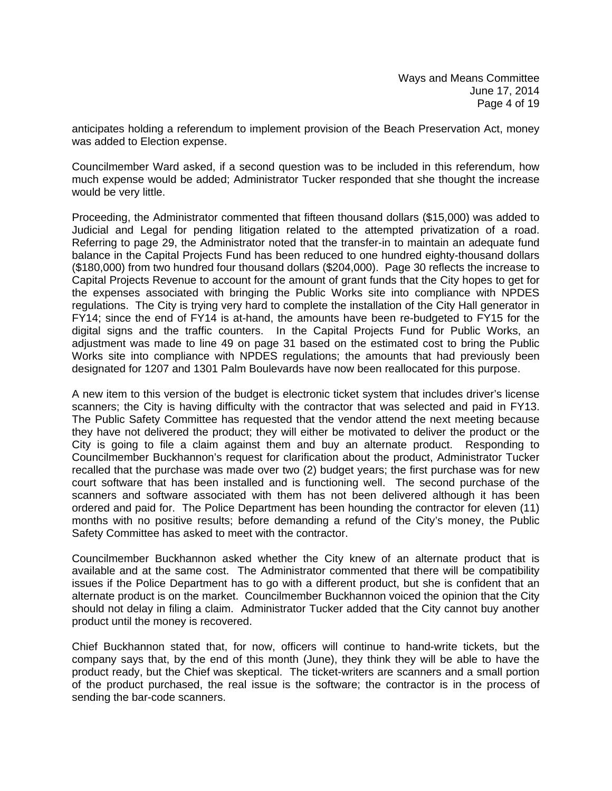anticipates holding a referendum to implement provision of the Beach Preservation Act, money was added to Election expense.

Councilmember Ward asked, if a second question was to be included in this referendum, how much expense would be added; Administrator Tucker responded that she thought the increase would be very little.

Proceeding, the Administrator commented that fifteen thousand dollars (\$15,000) was added to Judicial and Legal for pending litigation related to the attempted privatization of a road. Referring to page 29, the Administrator noted that the transfer-in to maintain an adequate fund balance in the Capital Projects Fund has been reduced to one hundred eighty-thousand dollars (\$180,000) from two hundred four thousand dollars (\$204,000). Page 30 reflects the increase to Capital Projects Revenue to account for the amount of grant funds that the City hopes to get for the expenses associated with bringing the Public Works site into compliance with NPDES regulations. The City is trying very hard to complete the installation of the City Hall generator in FY14; since the end of FY14 is at-hand, the amounts have been re-budgeted to FY15 for the digital signs and the traffic counters. In the Capital Projects Fund for Public Works, an adjustment was made to line 49 on page 31 based on the estimated cost to bring the Public Works site into compliance with NPDES regulations; the amounts that had previously been designated for 1207 and 1301 Palm Boulevards have now been reallocated for this purpose.

A new item to this version of the budget is electronic ticket system that includes driver's license scanners; the City is having difficulty with the contractor that was selected and paid in FY13. The Public Safety Committee has requested that the vendor attend the next meeting because they have not delivered the product; they will either be motivated to deliver the product or the City is going to file a claim against them and buy an alternate product. Responding to Councilmember Buckhannon's request for clarification about the product, Administrator Tucker recalled that the purchase was made over two (2) budget years; the first purchase was for new court software that has been installed and is functioning well. The second purchase of the scanners and software associated with them has not been delivered although it has been ordered and paid for. The Police Department has been hounding the contractor for eleven (11) months with no positive results; before demanding a refund of the City's money, the Public Safety Committee has asked to meet with the contractor.

Councilmember Buckhannon asked whether the City knew of an alternate product that is available and at the same cost. The Administrator commented that there will be compatibility issues if the Police Department has to go with a different product, but she is confident that an alternate product is on the market. Councilmember Buckhannon voiced the opinion that the City should not delay in filing a claim. Administrator Tucker added that the City cannot buy another product until the money is recovered.

Chief Buckhannon stated that, for now, officers will continue to hand-write tickets, but the company says that, by the end of this month (June), they think they will be able to have the product ready, but the Chief was skeptical. The ticket-writers are scanners and a small portion of the product purchased, the real issue is the software; the contractor is in the process of sending the bar-code scanners.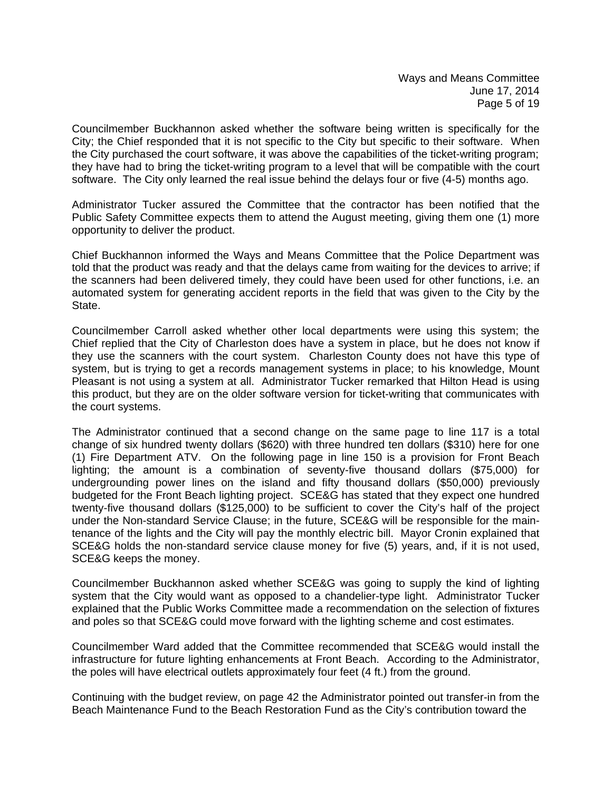Councilmember Buckhannon asked whether the software being written is specifically for the City; the Chief responded that it is not specific to the City but specific to their software. When the City purchased the court software, it was above the capabilities of the ticket-writing program; they have had to bring the ticket-writing program to a level that will be compatible with the court software. The City only learned the real issue behind the delays four or five (4-5) months ago.

Administrator Tucker assured the Committee that the contractor has been notified that the Public Safety Committee expects them to attend the August meeting, giving them one (1) more opportunity to deliver the product.

Chief Buckhannon informed the Ways and Means Committee that the Police Department was told that the product was ready and that the delays came from waiting for the devices to arrive; if the scanners had been delivered timely, they could have been used for other functions, i.e. an automated system for generating accident reports in the field that was given to the City by the State.

Councilmember Carroll asked whether other local departments were using this system; the Chief replied that the City of Charleston does have a system in place, but he does not know if they use the scanners with the court system. Charleston County does not have this type of system, but is trying to get a records management systems in place; to his knowledge, Mount Pleasant is not using a system at all. Administrator Tucker remarked that Hilton Head is using this product, but they are on the older software version for ticket-writing that communicates with the court systems.

The Administrator continued that a second change on the same page to line 117 is a total change of six hundred twenty dollars (\$620) with three hundred ten dollars (\$310) here for one (1) Fire Department ATV. On the following page in line 150 is a provision for Front Beach lighting; the amount is a combination of seventy-five thousand dollars (\$75,000) for undergrounding power lines on the island and fifty thousand dollars (\$50,000) previously budgeted for the Front Beach lighting project. SCE&G has stated that they expect one hundred twenty-five thousand dollars (\$125,000) to be sufficient to cover the City's half of the project under the Non-standard Service Clause; in the future, SCE&G will be responsible for the maintenance of the lights and the City will pay the monthly electric bill. Mayor Cronin explained that SCE&G holds the non-standard service clause money for five (5) years, and, if it is not used, SCE&G keeps the money.

Councilmember Buckhannon asked whether SCE&G was going to supply the kind of lighting system that the City would want as opposed to a chandelier-type light. Administrator Tucker explained that the Public Works Committee made a recommendation on the selection of fixtures and poles so that SCE&G could move forward with the lighting scheme and cost estimates.

Councilmember Ward added that the Committee recommended that SCE&G would install the infrastructure for future lighting enhancements at Front Beach. According to the Administrator, the poles will have electrical outlets approximately four feet (4 ft.) from the ground.

Continuing with the budget review, on page 42 the Administrator pointed out transfer-in from the Beach Maintenance Fund to the Beach Restoration Fund as the City's contribution toward the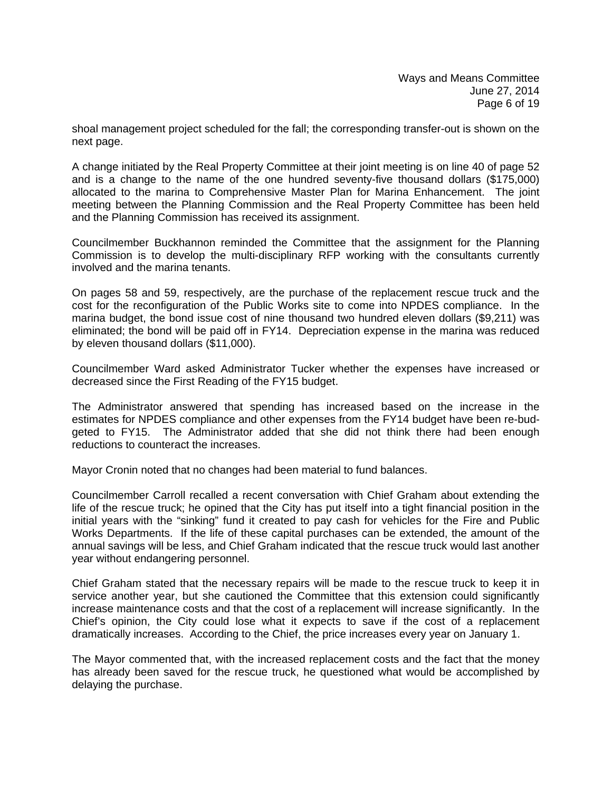shoal management project scheduled for the fall; the corresponding transfer-out is shown on the next page.

A change initiated by the Real Property Committee at their joint meeting is on line 40 of page 52 and is a change to the name of the one hundred seventy-five thousand dollars (\$175,000) allocated to the marina to Comprehensive Master Plan for Marina Enhancement. The joint meeting between the Planning Commission and the Real Property Committee has been held and the Planning Commission has received its assignment.

Councilmember Buckhannon reminded the Committee that the assignment for the Planning Commission is to develop the multi-disciplinary RFP working with the consultants currently involved and the marina tenants.

On pages 58 and 59, respectively, are the purchase of the replacement rescue truck and the cost for the reconfiguration of the Public Works site to come into NPDES compliance. In the marina budget, the bond issue cost of nine thousand two hundred eleven dollars (\$9,211) was eliminated; the bond will be paid off in FY14. Depreciation expense in the marina was reduced by eleven thousand dollars (\$11,000).

Councilmember Ward asked Administrator Tucker whether the expenses have increased or decreased since the First Reading of the FY15 budget.

The Administrator answered that spending has increased based on the increase in the estimates for NPDES compliance and other expenses from the FY14 budget have been re-budgeted to FY15. The Administrator added that she did not think there had been enough reductions to counteract the increases.

Mayor Cronin noted that no changes had been material to fund balances.

Councilmember Carroll recalled a recent conversation with Chief Graham about extending the life of the rescue truck; he opined that the City has put itself into a tight financial position in the initial years with the "sinking" fund it created to pay cash for vehicles for the Fire and Public Works Departments. If the life of these capital purchases can be extended, the amount of the annual savings will be less, and Chief Graham indicated that the rescue truck would last another year without endangering personnel.

Chief Graham stated that the necessary repairs will be made to the rescue truck to keep it in service another year, but she cautioned the Committee that this extension could significantly increase maintenance costs and that the cost of a replacement will increase significantly. In the Chief's opinion, the City could lose what it expects to save if the cost of a replacement dramatically increases. According to the Chief, the price increases every year on January 1.

The Mayor commented that, with the increased replacement costs and the fact that the money has already been saved for the rescue truck, he questioned what would be accomplished by delaying the purchase.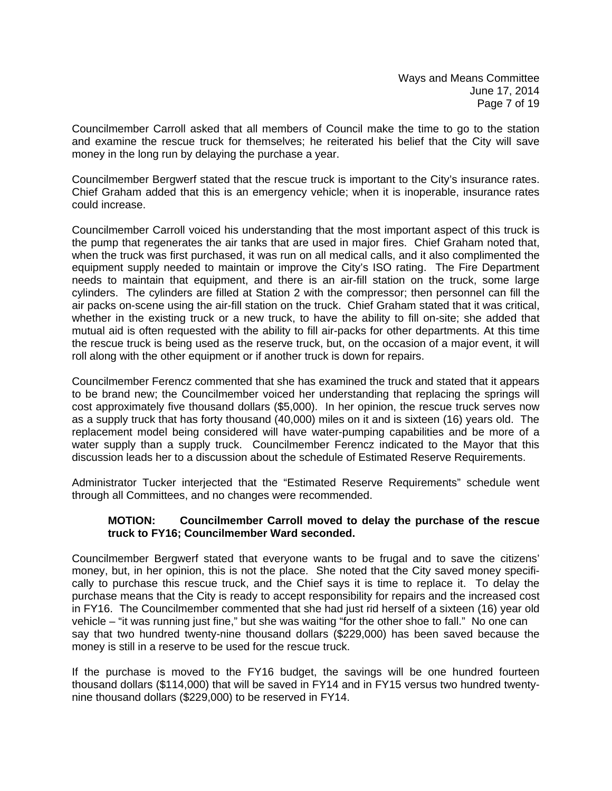Councilmember Carroll asked that all members of Council make the time to go to the station and examine the rescue truck for themselves; he reiterated his belief that the City will save money in the long run by delaying the purchase a year.

Councilmember Bergwerf stated that the rescue truck is important to the City's insurance rates. Chief Graham added that this is an emergency vehicle; when it is inoperable, insurance rates could increase.

Councilmember Carroll voiced his understanding that the most important aspect of this truck is the pump that regenerates the air tanks that are used in major fires. Chief Graham noted that, when the truck was first purchased, it was run on all medical calls, and it also complimented the equipment supply needed to maintain or improve the City's ISO rating. The Fire Department needs to maintain that equipment, and there is an air-fill station on the truck, some large cylinders. The cylinders are filled at Station 2 with the compressor; then personnel can fill the air packs on-scene using the air-fill station on the truck. Chief Graham stated that it was critical, whether in the existing truck or a new truck, to have the ability to fill on-site; she added that mutual aid is often requested with the ability to fill air-packs for other departments. At this time the rescue truck is being used as the reserve truck, but, on the occasion of a major event, it will roll along with the other equipment or if another truck is down for repairs.

Councilmember Ferencz commented that she has examined the truck and stated that it appears to be brand new; the Councilmember voiced her understanding that replacing the springs will cost approximately five thousand dollars (\$5,000). In her opinion, the rescue truck serves now as a supply truck that has forty thousand (40,000) miles on it and is sixteen (16) years old. The replacement model being considered will have water-pumping capabilities and be more of a water supply than a supply truck. Councilmember Ferencz indicated to the Mayor that this discussion leads her to a discussion about the schedule of Estimated Reserve Requirements.

Administrator Tucker interjected that the "Estimated Reserve Requirements" schedule went through all Committees, and no changes were recommended.

### **MOTION: Councilmember Carroll moved to delay the purchase of the rescue truck to FY16; Councilmember Ward seconded.**

Councilmember Bergwerf stated that everyone wants to be frugal and to save the citizens' money, but, in her opinion, this is not the place. She noted that the City saved money specifically to purchase this rescue truck, and the Chief says it is time to replace it. To delay the purchase means that the City is ready to accept responsibility for repairs and the increased cost in FY16. The Councilmember commented that she had just rid herself of a sixteen (16) year old vehicle – "it was running just fine," but she was waiting "for the other shoe to fall." No one can say that two hundred twenty-nine thousand dollars (\$229,000) has been saved because the money is still in a reserve to be used for the rescue truck.

If the purchase is moved to the FY16 budget, the savings will be one hundred fourteen thousand dollars (\$114,000) that will be saved in FY14 and in FY15 versus two hundred twentynine thousand dollars (\$229,000) to be reserved in FY14.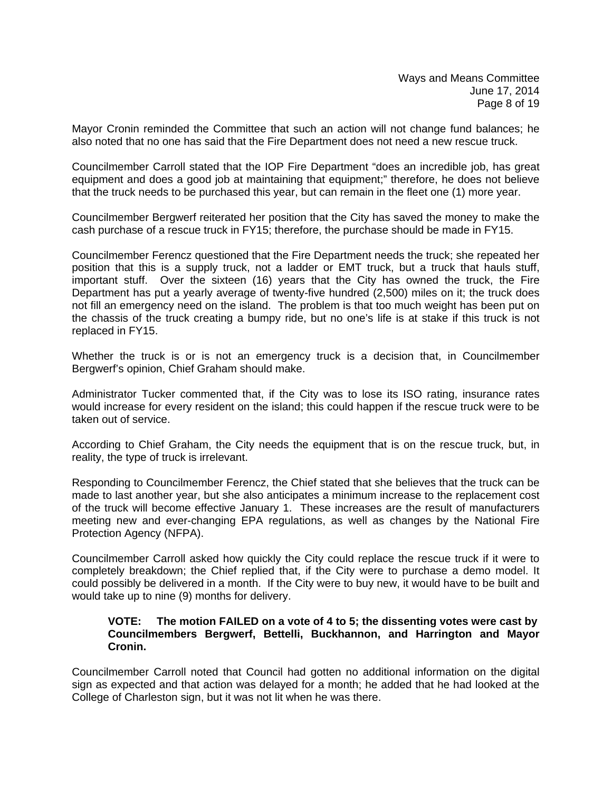Mayor Cronin reminded the Committee that such an action will not change fund balances; he also noted that no one has said that the Fire Department does not need a new rescue truck.

Councilmember Carroll stated that the IOP Fire Department "does an incredible job, has great equipment and does a good job at maintaining that equipment;" therefore, he does not believe that the truck needs to be purchased this year, but can remain in the fleet one (1) more year.

Councilmember Bergwerf reiterated her position that the City has saved the money to make the cash purchase of a rescue truck in FY15; therefore, the purchase should be made in FY15.

Councilmember Ferencz questioned that the Fire Department needs the truck; she repeated her position that this is a supply truck, not a ladder or EMT truck, but a truck that hauls stuff, important stuff. Over the sixteen (16) years that the City has owned the truck, the Fire Department has put a yearly average of twenty-five hundred (2,500) miles on it; the truck does not fill an emergency need on the island. The problem is that too much weight has been put on the chassis of the truck creating a bumpy ride, but no one's life is at stake if this truck is not replaced in FY15.

Whether the truck is or is not an emergency truck is a decision that, in Councilmember Bergwerf's opinion, Chief Graham should make.

Administrator Tucker commented that, if the City was to lose its ISO rating, insurance rates would increase for every resident on the island; this could happen if the rescue truck were to be taken out of service.

According to Chief Graham, the City needs the equipment that is on the rescue truck, but, in reality, the type of truck is irrelevant.

Responding to Councilmember Ferencz, the Chief stated that she believes that the truck can be made to last another year, but she also anticipates a minimum increase to the replacement cost of the truck will become effective January 1. These increases are the result of manufacturers meeting new and ever-changing EPA regulations, as well as changes by the National Fire Protection Agency (NFPA).

Councilmember Carroll asked how quickly the City could replace the rescue truck if it were to completely breakdown; the Chief replied that, if the City were to purchase a demo model. It could possibly be delivered in a month. If the City were to buy new, it would have to be built and would take up to nine (9) months for delivery.

#### **VOTE: The motion FAILED on a vote of 4 to 5; the dissenting votes were cast by Councilmembers Bergwerf, Bettelli, Buckhannon, and Harrington and Mayor Cronin.**

Councilmember Carroll noted that Council had gotten no additional information on the digital sign as expected and that action was delayed for a month; he added that he had looked at the College of Charleston sign, but it was not lit when he was there.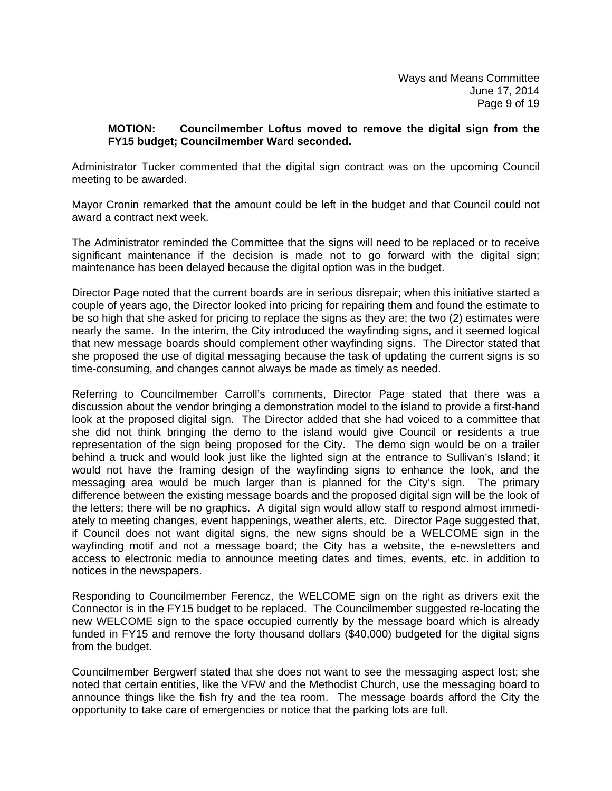### **MOTION: Councilmember Loftus moved to remove the digital sign from the FY15 budget; Councilmember Ward seconded.**

Administrator Tucker commented that the digital sign contract was on the upcoming Council meeting to be awarded.

Mayor Cronin remarked that the amount could be left in the budget and that Council could not award a contract next week.

The Administrator reminded the Committee that the signs will need to be replaced or to receive significant maintenance if the decision is made not to go forward with the digital sign; maintenance has been delayed because the digital option was in the budget.

Director Page noted that the current boards are in serious disrepair; when this initiative started a couple of years ago, the Director looked into pricing for repairing them and found the estimate to be so high that she asked for pricing to replace the signs as they are; the two (2) estimates were nearly the same. In the interim, the City introduced the wayfinding signs, and it seemed logical that new message boards should complement other wayfinding signs. The Director stated that she proposed the use of digital messaging because the task of updating the current signs is so time-consuming, and changes cannot always be made as timely as needed.

Referring to Councilmember Carroll's comments, Director Page stated that there was a discussion about the vendor bringing a demonstration model to the island to provide a first-hand look at the proposed digital sign. The Director added that she had voiced to a committee that she did not think bringing the demo to the island would give Council or residents a true representation of the sign being proposed for the City. The demo sign would be on a trailer behind a truck and would look just like the lighted sign at the entrance to Sullivan's Island; it would not have the framing design of the wayfinding signs to enhance the look, and the messaging area would be much larger than is planned for the City's sign. The primary difference between the existing message boards and the proposed digital sign will be the look of the letters; there will be no graphics. A digital sign would allow staff to respond almost immediately to meeting changes, event happenings, weather alerts, etc. Director Page suggested that, if Council does not want digital signs, the new signs should be a WELCOME sign in the wayfinding motif and not a message board; the City has a website, the e-newsletters and access to electronic media to announce meeting dates and times, events, etc. in addition to notices in the newspapers.

Responding to Councilmember Ferencz, the WELCOME sign on the right as drivers exit the Connector is in the FY15 budget to be replaced. The Councilmember suggested re-locating the new WELCOME sign to the space occupied currently by the message board which is already funded in FY15 and remove the forty thousand dollars (\$40,000) budgeted for the digital signs from the budget.

Councilmember Bergwerf stated that she does not want to see the messaging aspect lost; she noted that certain entities, like the VFW and the Methodist Church, use the messaging board to announce things like the fish fry and the tea room. The message boards afford the City the opportunity to take care of emergencies or notice that the parking lots are full.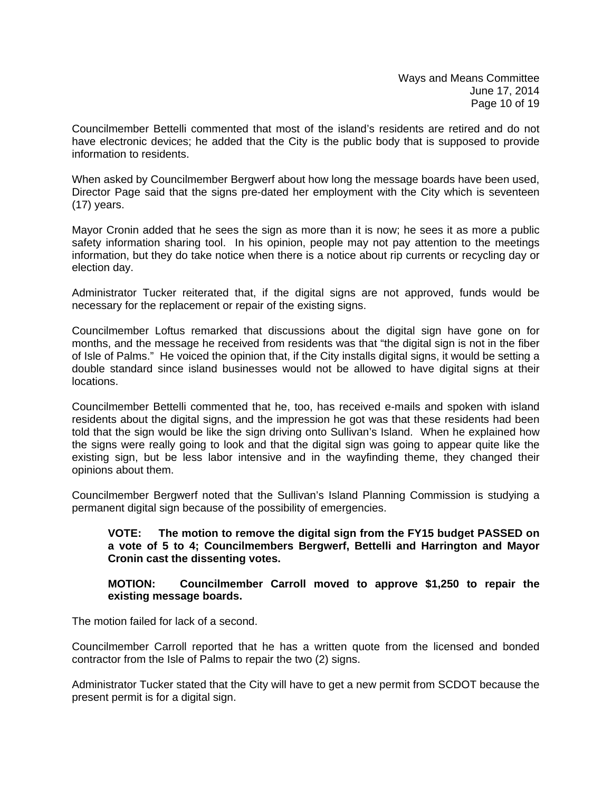Councilmember Bettelli commented that most of the island's residents are retired and do not have electronic devices; he added that the City is the public body that is supposed to provide information to residents.

When asked by Councilmember Bergwerf about how long the message boards have been used, Director Page said that the signs pre-dated her employment with the City which is seventeen (17) years.

Mayor Cronin added that he sees the sign as more than it is now; he sees it as more a public safety information sharing tool. In his opinion, people may not pay attention to the meetings information, but they do take notice when there is a notice about rip currents or recycling day or election day.

Administrator Tucker reiterated that, if the digital signs are not approved, funds would be necessary for the replacement or repair of the existing signs.

Councilmember Loftus remarked that discussions about the digital sign have gone on for months, and the message he received from residents was that "the digital sign is not in the fiber of Isle of Palms." He voiced the opinion that, if the City installs digital signs, it would be setting a double standard since island businesses would not be allowed to have digital signs at their locations.

Councilmember Bettelli commented that he, too, has received e-mails and spoken with island residents about the digital signs, and the impression he got was that these residents had been told that the sign would be like the sign driving onto Sullivan's Island. When he explained how the signs were really going to look and that the digital sign was going to appear quite like the existing sign, but be less labor intensive and in the wayfinding theme, they changed their opinions about them.

Councilmember Bergwerf noted that the Sullivan's Island Planning Commission is studying a permanent digital sign because of the possibility of emergencies.

### **VOTE: The motion to remove the digital sign from the FY15 budget PASSED on a vote of 5 to 4; Councilmembers Bergwerf, Bettelli and Harrington and Mayor Cronin cast the dissenting votes.**

### **MOTION: Councilmember Carroll moved to approve \$1,250 to repair the existing message boards.**

The motion failed for lack of a second.

Councilmember Carroll reported that he has a written quote from the licensed and bonded contractor from the Isle of Palms to repair the two (2) signs.

Administrator Tucker stated that the City will have to get a new permit from SCDOT because the present permit is for a digital sign.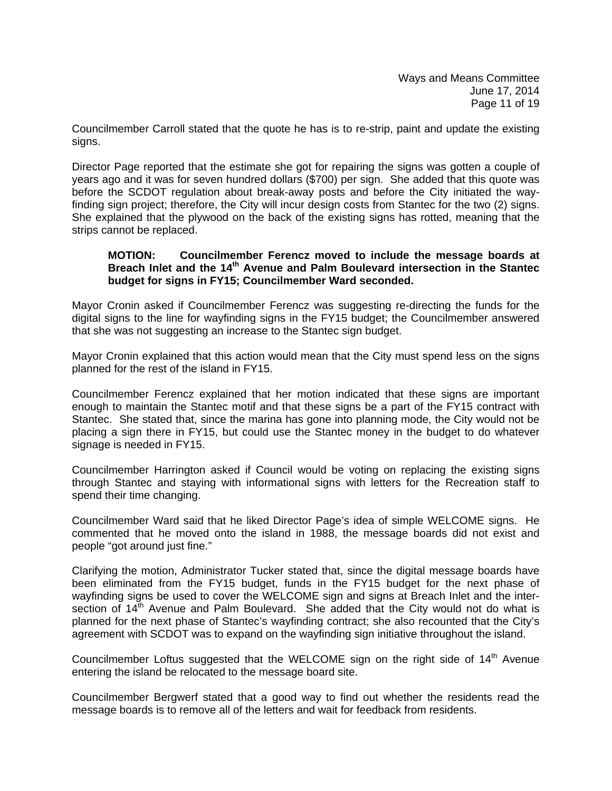Councilmember Carroll stated that the quote he has is to re-strip, paint and update the existing signs.

Director Page reported that the estimate she got for repairing the signs was gotten a couple of years ago and it was for seven hundred dollars (\$700) per sign. She added that this quote was before the SCDOT regulation about break-away posts and before the City initiated the wayfinding sign project; therefore, the City will incur design costs from Stantec for the two (2) signs. She explained that the plywood on the back of the existing signs has rotted, meaning that the strips cannot be replaced.

#### **MOTION: Councilmember Ferencz moved to include the message boards at Breach Inlet and the 14th Avenue and Palm Boulevard intersection in the Stantec budget for signs in FY15; Councilmember Ward seconded.**

Mayor Cronin asked if Councilmember Ferencz was suggesting re-directing the funds for the digital signs to the line for wayfinding signs in the FY15 budget; the Councilmember answered that she was not suggesting an increase to the Stantec sign budget.

Mayor Cronin explained that this action would mean that the City must spend less on the signs planned for the rest of the island in FY15.

Councilmember Ferencz explained that her motion indicated that these signs are important enough to maintain the Stantec motif and that these signs be a part of the FY15 contract with Stantec. She stated that, since the marina has gone into planning mode, the City would not be placing a sign there in FY15, but could use the Stantec money in the budget to do whatever signage is needed in FY15.

Councilmember Harrington asked if Council would be voting on replacing the existing signs through Stantec and staying with informational signs with letters for the Recreation staff to spend their time changing.

Councilmember Ward said that he liked Director Page's idea of simple WELCOME signs. He commented that he moved onto the island in 1988, the message boards did not exist and people "got around just fine."

Clarifying the motion, Administrator Tucker stated that, since the digital message boards have been eliminated from the FY15 budget, funds in the FY15 budget for the next phase of wayfinding signs be used to cover the WELCOME sign and signs at Breach Inlet and the intersection of  $14<sup>th</sup>$  Avenue and Palm Boulevard. She added that the City would not do what is planned for the next phase of Stantec's wayfinding contract; she also recounted that the City's agreement with SCDOT was to expand on the wayfinding sign initiative throughout the island.

Councilmember Loftus suggested that the WELCOME sign on the right side of  $14<sup>th</sup>$  Avenue entering the island be relocated to the message board site.

Councilmember Bergwerf stated that a good way to find out whether the residents read the message boards is to remove all of the letters and wait for feedback from residents.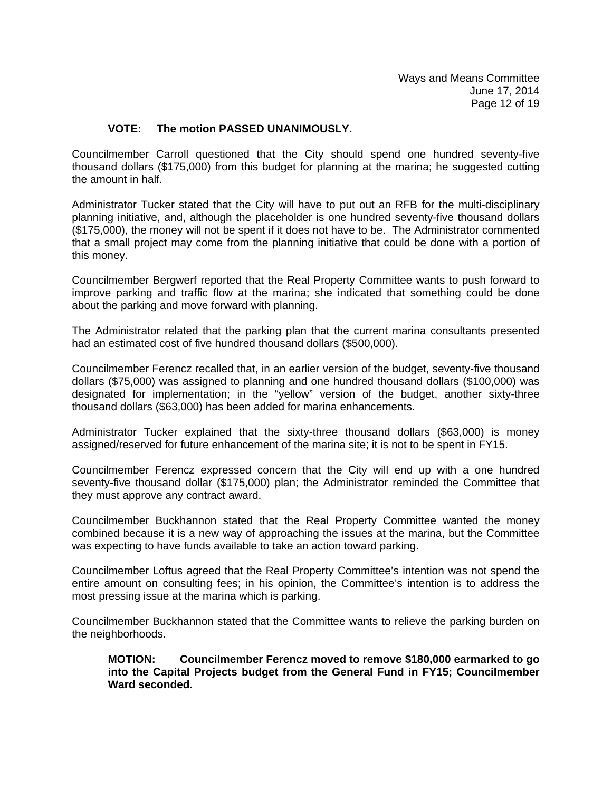### **VOTE: The motion PASSED UNANIMOUSLY.**

Councilmember Carroll questioned that the City should spend one hundred seventy-five thousand dollars (\$175,000) from this budget for planning at the marina; he suggested cutting the amount in half.

Administrator Tucker stated that the City will have to put out an RFB for the multi-disciplinary planning initiative, and, although the placeholder is one hundred seventy-five thousand dollars (\$175,000), the money will not be spent if it does not have to be. The Administrator commented that a small project may come from the planning initiative that could be done with a portion of this money.

Councilmember Bergwerf reported that the Real Property Committee wants to push forward to improve parking and traffic flow at the marina; she indicated that something could be done about the parking and move forward with planning.

The Administrator related that the parking plan that the current marina consultants presented had an estimated cost of five hundred thousand dollars (\$500,000).

Councilmember Ferencz recalled that, in an earlier version of the budget, seventy-five thousand dollars (\$75,000) was assigned to planning and one hundred thousand dollars (\$100,000) was designated for implementation; in the "yellow" version of the budget, another sixty-three thousand dollars (\$63,000) has been added for marina enhancements.

Administrator Tucker explained that the sixty-three thousand dollars (\$63,000) is money assigned/reserved for future enhancement of the marina site; it is not to be spent in FY15.

Councilmember Ferencz expressed concern that the City will end up with a one hundred seventy-five thousand dollar (\$175,000) plan; the Administrator reminded the Committee that they must approve any contract award.

Councilmember Buckhannon stated that the Real Property Committee wanted the money combined because it is a new way of approaching the issues at the marina, but the Committee was expecting to have funds available to take an action toward parking.

Councilmember Loftus agreed that the Real Property Committee's intention was not spend the entire amount on consulting fees; in his opinion, the Committee's intention is to address the most pressing issue at the marina which is parking.

Councilmember Buckhannon stated that the Committee wants to relieve the parking burden on the neighborhoods.

**MOTION: Councilmember Ferencz moved to remove \$180,000 earmarked to go into the Capital Projects budget from the General Fund in FY15; Councilmember Ward seconded.**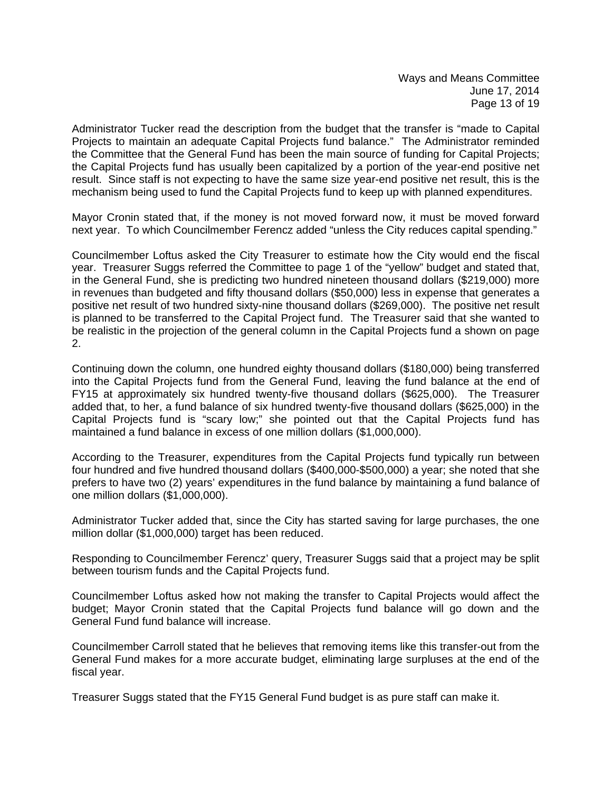Administrator Tucker read the description from the budget that the transfer is "made to Capital Projects to maintain an adequate Capital Projects fund balance." The Administrator reminded the Committee that the General Fund has been the main source of funding for Capital Projects; the Capital Projects fund has usually been capitalized by a portion of the year-end positive net result. Since staff is not expecting to have the same size year-end positive net result, this is the mechanism being used to fund the Capital Projects fund to keep up with planned expenditures.

Mayor Cronin stated that, if the money is not moved forward now, it must be moved forward next year. To which Councilmember Ferencz added "unless the City reduces capital spending."

Councilmember Loftus asked the City Treasurer to estimate how the City would end the fiscal year. Treasurer Suggs referred the Committee to page 1 of the "yellow" budget and stated that, in the General Fund, she is predicting two hundred nineteen thousand dollars (\$219,000) more in revenues than budgeted and fifty thousand dollars (\$50,000) less in expense that generates a positive net result of two hundred sixty-nine thousand dollars (\$269,000). The positive net result is planned to be transferred to the Capital Project fund. The Treasurer said that she wanted to be realistic in the projection of the general column in the Capital Projects fund a shown on page 2.

Continuing down the column, one hundred eighty thousand dollars (\$180,000) being transferred into the Capital Projects fund from the General Fund, leaving the fund balance at the end of FY15 at approximately six hundred twenty-five thousand dollars (\$625,000). The Treasurer added that, to her, a fund balance of six hundred twenty-five thousand dollars (\$625,000) in the Capital Projects fund is "scary low;" she pointed out that the Capital Projects fund has maintained a fund balance in excess of one million dollars (\$1,000,000).

According to the Treasurer, expenditures from the Capital Projects fund typically run between four hundred and five hundred thousand dollars (\$400,000-\$500,000) a year; she noted that she prefers to have two (2) years' expenditures in the fund balance by maintaining a fund balance of one million dollars (\$1,000,000).

Administrator Tucker added that, since the City has started saving for large purchases, the one million dollar (\$1,000,000) target has been reduced.

Responding to Councilmember Ferencz' query, Treasurer Suggs said that a project may be split between tourism funds and the Capital Projects fund.

Councilmember Loftus asked how not making the transfer to Capital Projects would affect the budget; Mayor Cronin stated that the Capital Projects fund balance will go down and the General Fund fund balance will increase.

Councilmember Carroll stated that he believes that removing items like this transfer-out from the General Fund makes for a more accurate budget, eliminating large surpluses at the end of the fiscal year.

Treasurer Suggs stated that the FY15 General Fund budget is as pure staff can make it.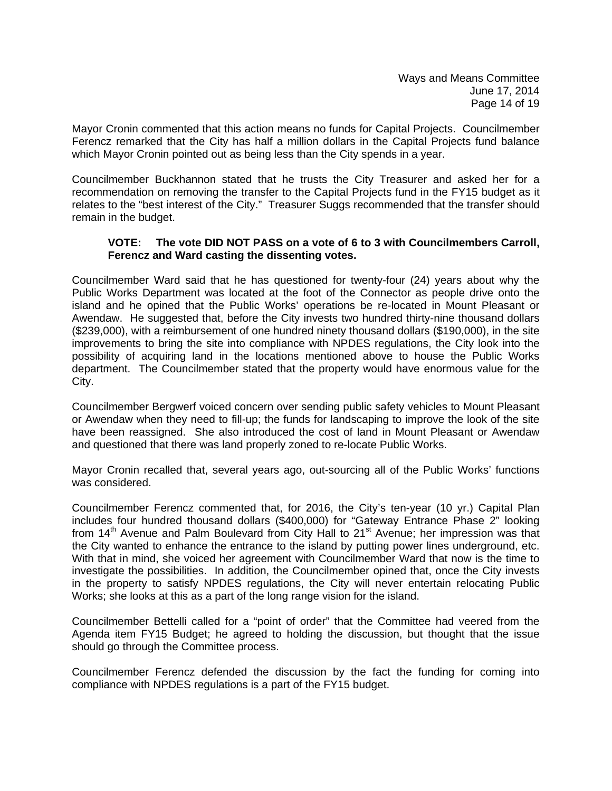Mayor Cronin commented that this action means no funds for Capital Projects. Councilmember Ferencz remarked that the City has half a million dollars in the Capital Projects fund balance which Mayor Cronin pointed out as being less than the City spends in a year.

Councilmember Buckhannon stated that he trusts the City Treasurer and asked her for a recommendation on removing the transfer to the Capital Projects fund in the FY15 budget as it relates to the "best interest of the City." Treasurer Suggs recommended that the transfer should remain in the budget.

### **VOTE: The vote DID NOT PASS on a vote of 6 to 3 with Councilmembers Carroll, Ferencz and Ward casting the dissenting votes.**

Councilmember Ward said that he has questioned for twenty-four (24) years about why the Public Works Department was located at the foot of the Connector as people drive onto the island and he opined that the Public Works' operations be re-located in Mount Pleasant or Awendaw. He suggested that, before the City invests two hundred thirty-nine thousand dollars (\$239,000), with a reimbursement of one hundred ninety thousand dollars (\$190,000), in the site improvements to bring the site into compliance with NPDES regulations, the City look into the possibility of acquiring land in the locations mentioned above to house the Public Works department. The Councilmember stated that the property would have enormous value for the City.

Councilmember Bergwerf voiced concern over sending public safety vehicles to Mount Pleasant or Awendaw when they need to fill-up; the funds for landscaping to improve the look of the site have been reassigned. She also introduced the cost of land in Mount Pleasant or Awendaw and questioned that there was land properly zoned to re-locate Public Works.

Mayor Cronin recalled that, several years ago, out-sourcing all of the Public Works' functions was considered.

Councilmember Ferencz commented that, for 2016, the City's ten-year (10 yr.) Capital Plan includes four hundred thousand dollars (\$400,000) for "Gateway Entrance Phase 2" looking from 14<sup>th</sup> Avenue and Palm Boulevard from City Hall to 21<sup>st</sup> Avenue; her impression was that the City wanted to enhance the entrance to the island by putting power lines underground, etc. With that in mind, she voiced her agreement with Councilmember Ward that now is the time to investigate the possibilities. In addition, the Councilmember opined that, once the City invests in the property to satisfy NPDES regulations, the City will never entertain relocating Public Works; she looks at this as a part of the long range vision for the island.

Councilmember Bettelli called for a "point of order" that the Committee had veered from the Agenda item FY15 Budget; he agreed to holding the discussion, but thought that the issue should go through the Committee process.

Councilmember Ferencz defended the discussion by the fact the funding for coming into compliance with NPDES regulations is a part of the FY15 budget.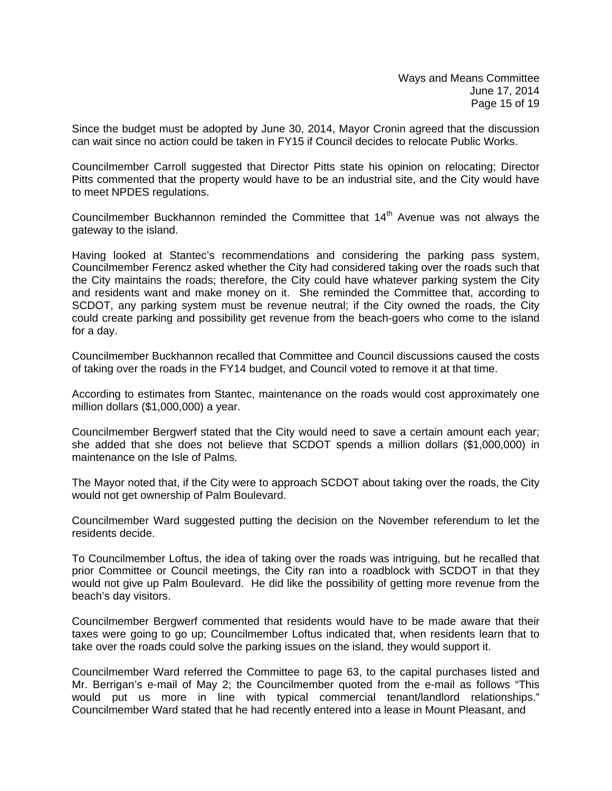Since the budget must be adopted by June 30, 2014, Mayor Cronin agreed that the discussion can wait since no action could be taken in FY15 if Council decides to relocate Public Works.

Councilmember Carroll suggested that Director Pitts state his opinion on relocating; Director Pitts commented that the property would have to be an industrial site, and the City would have to meet NPDES regulations.

Councilmember Buckhannon reminded the Committee that  $14<sup>th</sup>$  Avenue was not always the gateway to the island.

Having looked at Stantec's recommendations and considering the parking pass system, Councilmember Ferencz asked whether the City had considered taking over the roads such that the City maintains the roads; therefore, the City could have whatever parking system the City and residents want and make money on it. She reminded the Committee that, according to SCDOT, any parking system must be revenue neutral; if the City owned the roads, the City could create parking and possibility get revenue from the beach-goers who come to the island for a day.

Councilmember Buckhannon recalled that Committee and Council discussions caused the costs of taking over the roads in the FY14 budget, and Council voted to remove it at that time.

According to estimates from Stantec, maintenance on the roads would cost approximately one million dollars (\$1,000,000) a year.

Councilmember Bergwerf stated that the City would need to save a certain amount each year; she added that she does not believe that SCDOT spends a million dollars (\$1,000,000) in maintenance on the Isle of Palms.

The Mayor noted that, if the City were to approach SCDOT about taking over the roads, the City would not get ownership of Palm Boulevard.

Councilmember Ward suggested putting the decision on the November referendum to let the residents decide.

To Councilmember Loftus, the idea of taking over the roads was intriguing, but he recalled that prior Committee or Council meetings, the City ran into a roadblock with SCDOT in that they would not give up Palm Boulevard. He did like the possibility of getting more revenue from the beach's day visitors.

Councilmember Bergwerf commented that residents would have to be made aware that their taxes were going to go up; Councilmember Loftus indicated that, when residents learn that to take over the roads could solve the parking issues on the island, they would support it.

Councilmember Ward referred the Committee to page 63, to the capital purchases listed and Mr. Berrigan's e-mail of May 2; the Councilmember quoted from the e-mail as follows "This would put us more in line with typical commercial tenant/landlord relationships." Councilmember Ward stated that he had recently entered into a lease in Mount Pleasant, and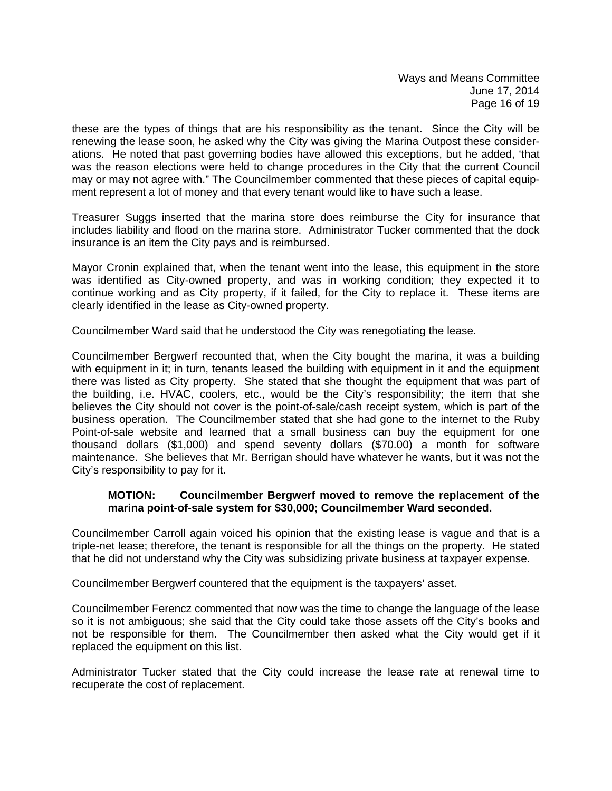these are the types of things that are his responsibility as the tenant. Since the City will be renewing the lease soon, he asked why the City was giving the Marina Outpost these considerations. He noted that past governing bodies have allowed this exceptions, but he added, 'that was the reason elections were held to change procedures in the City that the current Council may or may not agree with." The Councilmember commented that these pieces of capital equipment represent a lot of money and that every tenant would like to have such a lease.

Treasurer Suggs inserted that the marina store does reimburse the City for insurance that includes liability and flood on the marina store. Administrator Tucker commented that the dock insurance is an item the City pays and is reimbursed.

Mayor Cronin explained that, when the tenant went into the lease, this equipment in the store was identified as City-owned property, and was in working condition; they expected it to continue working and as City property, if it failed, for the City to replace it. These items are clearly identified in the lease as City-owned property.

Councilmember Ward said that he understood the City was renegotiating the lease.

Councilmember Bergwerf recounted that, when the City bought the marina, it was a building with equipment in it; in turn, tenants leased the building with equipment in it and the equipment there was listed as City property. She stated that she thought the equipment that was part of the building, i.e. HVAC, coolers, etc., would be the City's responsibility; the item that she believes the City should not cover is the point-of-sale/cash receipt system, which is part of the business operation. The Councilmember stated that she had gone to the internet to the Ruby Point-of-sale website and learned that a small business can buy the equipment for one thousand dollars (\$1,000) and spend seventy dollars (\$70.00) a month for software maintenance. She believes that Mr. Berrigan should have whatever he wants, but it was not the City's responsibility to pay for it.

### **MOTION: Councilmember Bergwerf moved to remove the replacement of the marina point-of-sale system for \$30,000; Councilmember Ward seconded.**

Councilmember Carroll again voiced his opinion that the existing lease is vague and that is a triple-net lease; therefore, the tenant is responsible for all the things on the property. He stated that he did not understand why the City was subsidizing private business at taxpayer expense.

Councilmember Bergwerf countered that the equipment is the taxpayers' asset.

Councilmember Ferencz commented that now was the time to change the language of the lease so it is not ambiguous; she said that the City could take those assets off the City's books and not be responsible for them. The Councilmember then asked what the City would get if it replaced the equipment on this list.

Administrator Tucker stated that the City could increase the lease rate at renewal time to recuperate the cost of replacement.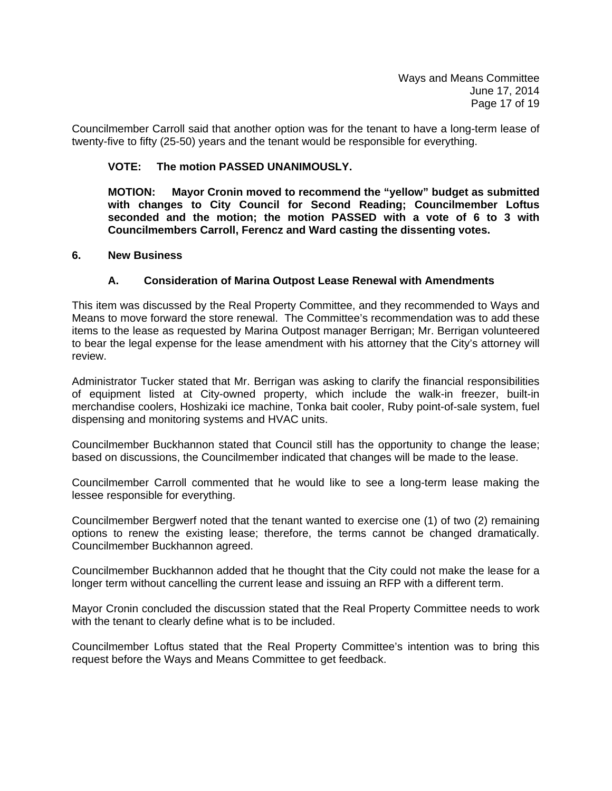Councilmember Carroll said that another option was for the tenant to have a long-term lease of twenty-five to fifty (25-50) years and the tenant would be responsible for everything.

### **VOTE: The motion PASSED UNANIMOUSLY.**

**MOTION: Mayor Cronin moved to recommend the "yellow" budget as submitted with changes to City Council for Second Reading; Councilmember Loftus seconded and the motion; the motion PASSED with a vote of 6 to 3 with Councilmembers Carroll, Ferencz and Ward casting the dissenting votes.** 

#### **6. New Business**

### **A. Consideration of Marina Outpost Lease Renewal with Amendments**

This item was discussed by the Real Property Committee, and they recommended to Ways and Means to move forward the store renewal. The Committee's recommendation was to add these items to the lease as requested by Marina Outpost manager Berrigan; Mr. Berrigan volunteered to bear the legal expense for the lease amendment with his attorney that the City's attorney will review.

Administrator Tucker stated that Mr. Berrigan was asking to clarify the financial responsibilities of equipment listed at City-owned property, which include the walk-in freezer, built-in merchandise coolers, Hoshizaki ice machine, Tonka bait cooler, Ruby point-of-sale system, fuel dispensing and monitoring systems and HVAC units.

Councilmember Buckhannon stated that Council still has the opportunity to change the lease; based on discussions, the Councilmember indicated that changes will be made to the lease.

Councilmember Carroll commented that he would like to see a long-term lease making the lessee responsible for everything.

Councilmember Bergwerf noted that the tenant wanted to exercise one (1) of two (2) remaining options to renew the existing lease; therefore, the terms cannot be changed dramatically. Councilmember Buckhannon agreed.

Councilmember Buckhannon added that he thought that the City could not make the lease for a longer term without cancelling the current lease and issuing an RFP with a different term.

Mayor Cronin concluded the discussion stated that the Real Property Committee needs to work with the tenant to clearly define what is to be included.

Councilmember Loftus stated that the Real Property Committee's intention was to bring this request before the Ways and Means Committee to get feedback.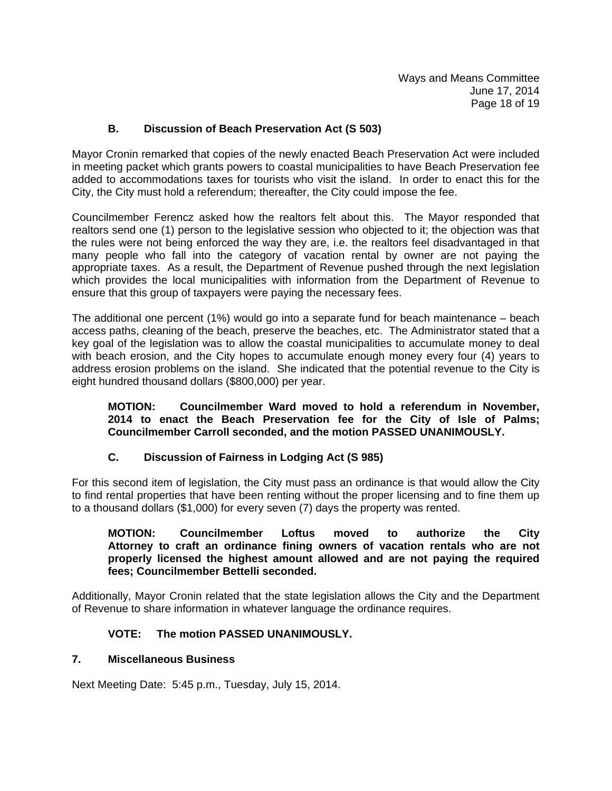## **B. Discussion of Beach Preservation Act (S 503)**

Mayor Cronin remarked that copies of the newly enacted Beach Preservation Act were included in meeting packet which grants powers to coastal municipalities to have Beach Preservation fee added to accommodations taxes for tourists who visit the island. In order to enact this for the City, the City must hold a referendum; thereafter, the City could impose the fee.

Councilmember Ferencz asked how the realtors felt about this. The Mayor responded that realtors send one (1) person to the legislative session who objected to it; the objection was that the rules were not being enforced the way they are, i.e. the realtors feel disadvantaged in that many people who fall into the category of vacation rental by owner are not paying the appropriate taxes. As a result, the Department of Revenue pushed through the next legislation which provides the local municipalities with information from the Department of Revenue to ensure that this group of taxpayers were paying the necessary fees.

The additional one percent (1%) would go into a separate fund for beach maintenance – beach access paths, cleaning of the beach, preserve the beaches, etc. The Administrator stated that a key goal of the legislation was to allow the coastal municipalities to accumulate money to deal with beach erosion, and the City hopes to accumulate enough money every four (4) years to address erosion problems on the island. She indicated that the potential revenue to the City is eight hundred thousand dollars (\$800,000) per year.

 **MOTION: Councilmember Ward moved to hold a referendum in November, 2014 to enact the Beach Preservation fee for the City of Isle of Palms; Councilmember Carroll seconded, and the motion PASSED UNANIMOUSLY.** 

### **C. Discussion of Fairness in Lodging Act (S 985)**

For this second item of legislation, the City must pass an ordinance is that would allow the City to find rental properties that have been renting without the proper licensing and to fine them up to a thousand dollars (\$1,000) for every seven (7) days the property was rented.

#### **MOTION: Councilmember Loftus moved to authorize the City Attorney to craft an ordinance fining owners of vacation rentals who are not properly licensed the highest amount allowed and are not paying the required fees; Councilmember Bettelli seconded.**

Additionally, Mayor Cronin related that the state legislation allows the City and the Department of Revenue to share information in whatever language the ordinance requires.

### **VOTE: The motion PASSED UNANIMOUSLY.**

### **7. Miscellaneous Business**

Next Meeting Date: 5:45 p.m., Tuesday, July 15, 2014.